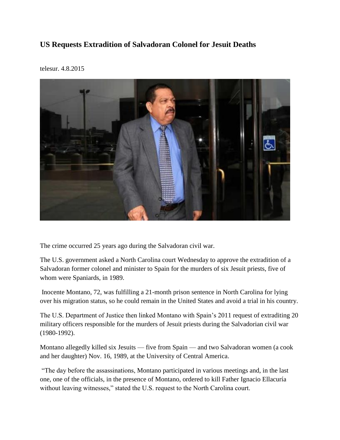## **US Requests Extradition of Salvadoran Colonel for Jesuit Deaths**



telesur. 4.8.2015

The crime occurred 25 years ago during the Salvadoran civil war.

The U.S. government asked a North Carolina court Wednesday to approve the extradition of a Salvadoran former colonel and minister to Spain for the murders of six Jesuit priests, five of whom were Spaniards, in 1989.

Inocente Montano, 72, was fulfilling a 21-month prison sentence in North Carolina for lying over his migration status, so he could remain in the United States and avoid a trial in his country.

The U.S. Department of Justice then linked Montano with Spain's 2011 request of extraditing 20 military officers responsible for the murders of Jesuit priests during the Salvadorian civil war (1980-1992).

Montano allegedly killed six Jesuits — five from Spain — and two Salvadoran women (a cook and her daughter) Nov. 16, 1989, at the University of Central America.

"The day before the assassinations, Montano participated in various meetings and, in the last one, one of the officials, in the presence of Montano, ordered to kill Father Ignacio Ellacuría without leaving witnesses," stated the U.S. request to the North Carolina court.